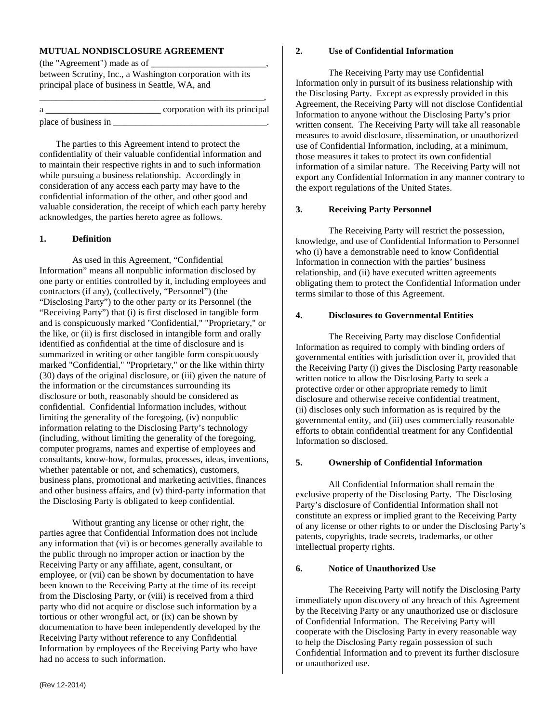# **MUTUAL NONDISCLOSURE AGREEMENT**

(the "Agreement") made as of \_ between Scrutiny, Inc., a Washington corporation with its principal place of business in Seattle, WA, and

|                      | corporation with its principal |
|----------------------|--------------------------------|
| place of business in |                                |

 The parties to this Agreement intend to protect the confidentiality of their valuable confidential information and to maintain their respective rights in and to such information while pursuing a business relationship. Accordingly in consideration of any access each party may have to the confidential information of the other, and other good and valuable consideration, the receipt of which each party hereby acknowledges, the parties hereto agree as follows.

# **1. Definition**

As used in this Agreement, "Confidential Information" means all nonpublic information disclosed by one party or entities controlled by it, including employees and contractors (if any), (collectively, "Personnel") (the "Disclosing Party") to the other party or its Personnel (the "Receiving Party") that (i) is first disclosed in tangible form and is conspicuously marked "Confidential," "Proprietary," or the like, or (ii) is first disclosed in intangible form and orally identified as confidential at the time of disclosure and is summarized in writing or other tangible form conspicuously marked "Confidential," "Proprietary," or the like within thirty (30) days of the original disclosure, or (iii) given the nature of the information or the circumstances surrounding its disclosure or both, reasonably should be considered as confidential. Confidential Information includes, without limiting the generality of the foregoing, (iv) nonpublic information relating to the Disclosing Party's technology (including, without limiting the generality of the foregoing, computer programs, names and expertise of employees and consultants, know-how, formulas, processes, ideas, inventions, whether patentable or not, and schematics), customers, business plans, promotional and marketing activities, finances and other business affairs, and (v) third-party information that the Disclosing Party is obligated to keep confidential.

Without granting any license or other right, the parties agree that Confidential Information does not include any information that (vi) is or becomes generally available to the public through no improper action or inaction by the Receiving Party or any affiliate, agent, consultant, or employee, or (vii) can be shown by documentation to have been known to the Receiving Party at the time of its receipt from the Disclosing Party, or (viii) is received from a third party who did not acquire or disclose such information by a tortious or other wrongful act, or (ix) can be shown by documentation to have been independently developed by the Receiving Party without reference to any Confidential Information by employees of the Receiving Party who have had no access to such information.

The Receiving Party may use Confidential Information only in pursuit of its business relationship with the Disclosing Party. Except as expressly provided in this Agreement, the Receiving Party will not disclose Confidential Information to anyone without the Disclosing Party's prior written consent. The Receiving Party will take all reasonable measures to avoid disclosure, dissemination, or unauthorized use of Confidential Information, including, at a minimum, those measures it takes to protect its own confidential information of a similar nature. The Receiving Party will not export any Confidential Information in any manner contrary to the export regulations of the United States.

# **3. Receiving Party Personnel**

 The Receiving Party will restrict the possession, knowledge, and use of Confidential Information to Personnel who (i) have a demonstrable need to know Confidential Information in connection with the parties' business relationship, and (ii) have executed written agreements obligating them to protect the Confidential Information under terms similar to those of this Agreement.

# **4. Disclosures to Governmental Entities**

The Receiving Party may disclose Confidential Information as required to comply with binding orders of governmental entities with jurisdiction over it, provided that the Receiving Party (i) gives the Disclosing Party reasonable written notice to allow the Disclosing Party to seek a protective order or other appropriate remedy to limit disclosure and otherwise receive confidential treatment, (ii) discloses only such information as is required by the governmental entity, and (iii) uses commercially reasonable efforts to obtain confidential treatment for any Confidential Information so disclosed.

## **5. Ownership of Confidential Information**

All Confidential Information shall remain the exclusive property of the Disclosing Party. The Disclosing Party's disclosure of Confidential Information shall not constitute an express or implied grant to the Receiving Party of any license or other rights to or under the Disclosing Party's patents, copyrights, trade secrets, trademarks, or other intellectual property rights.

### **6. Notice of Unauthorized Use**

 The Receiving Party will notify the Disclosing Party immediately upon discovery of any breach of this Agreement by the Receiving Party or any unauthorized use or disclosure of Confidential Information. The Receiving Party will cooperate with the Disclosing Party in every reasonable way to help the Disclosing Party regain possession of such Confidential Information and to prevent its further disclosure or unauthorized use.